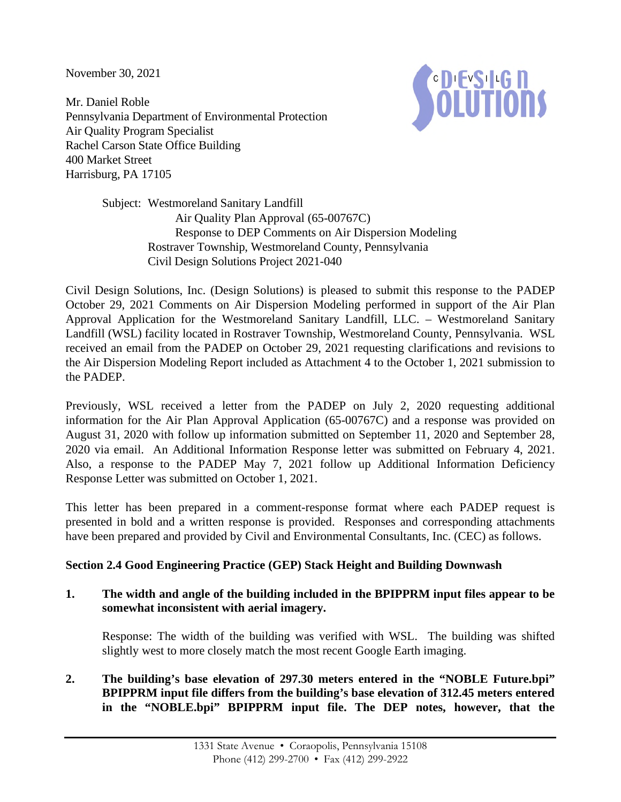November 30, 2021

Mr. Daniel Roble Pennsylvania Department of Environmental Protection Air Quality Program Specialist Rachel Carson State Office Building 400 Market Street Harrisburg, PA 17105



Subject: Westmoreland Sanitary Landfill Air Quality Plan Approval (65-00767C) Response to DEP Comments on Air Dispersion Modeling Rostraver Township, Westmoreland County, Pennsylvania Civil Design Solutions Project 2021-040

Civil Design Solutions, Inc. (Design Solutions) is pleased to submit this response to the PADEP October 29, 2021 Comments on Air Dispersion Modeling performed in support of the Air Plan Approval Application for the Westmoreland Sanitary Landfill, LLC. – Westmoreland Sanitary Landfill (WSL) facility located in Rostraver Township, Westmoreland County, Pennsylvania. WSL received an email from the PADEP on October 29, 2021 requesting clarifications and revisions to the Air Dispersion Modeling Report included as Attachment 4 to the October 1, 2021 submission to the PADEP.

Previously, WSL received a letter from the PADEP on July 2, 2020 requesting additional information for the Air Plan Approval Application (65-00767C) and a response was provided on August 31, 2020 with follow up information submitted on September 11, 2020 and September 28, 2020 via email. An Additional Information Response letter was submitted on February 4, 2021. Also, a response to the PADEP May 7, 2021 follow up Additional Information Deficiency Response Letter was submitted on October 1, 2021.

This letter has been prepared in a comment-response format where each PADEP request is presented in bold and a written response is provided. Responses and corresponding attachments have been prepared and provided by Civil and Environmental Consultants, Inc. (CEC) as follows.

# **Section 2.4 Good Engineering Practice (GEP) Stack Height and Building Downwash**

## **1. The width and angle of the building included in the BPIPPRM input files appear to be somewhat inconsistent with aerial imagery.**

Response: The width of the building was verified with WSL. The building was shifted slightly west to more closely match the most recent Google Earth imaging.

**2. The building's base elevation of 297.30 meters entered in the "NOBLE Future.bpi" BPIPPRM input file differs from the building's base elevation of 312.45 meters entered in the "NOBLE.bpi" BPIPPRM input file. The DEP notes, however, that the**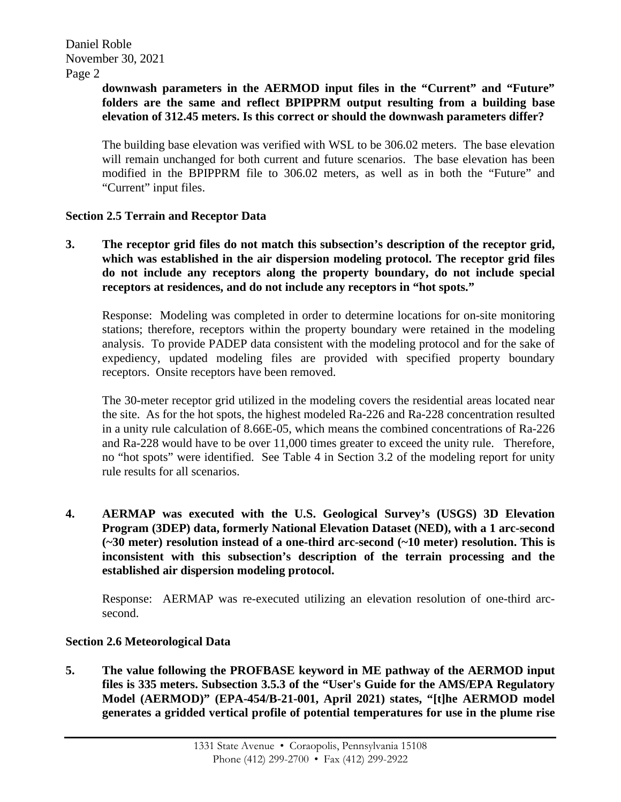### Page 2

## **downwash parameters in the AERMOD input files in the "Current" and "Future" folders are the same and reflect BPIPPRM output resulting from a building base elevation of 312.45 meters. Is this correct or should the downwash parameters differ?**

The building base elevation was verified with WSL to be 306.02 meters. The base elevation will remain unchanged for both current and future scenarios. The base elevation has been modified in the BPIPPRM file to 306.02 meters, as well as in both the "Future" and "Current" input files.

## **Section 2.5 Terrain and Receptor Data**

**3. The receptor grid files do not match this subsection's description of the receptor grid, which was established in the air dispersion modeling protocol. The receptor grid files do not include any receptors along the property boundary, do not include special receptors at residences, and do not include any receptors in "hot spots."** 

Response: Modeling was completed in order to determine locations for on-site monitoring stations; therefore, receptors within the property boundary were retained in the modeling analysis. To provide PADEP data consistent with the modeling protocol and for the sake of expediency, updated modeling files are provided with specified property boundary receptors. Onsite receptors have been removed.

The 30-meter receptor grid utilized in the modeling covers the residential areas located near the site. As for the hot spots, the highest modeled Ra-226 and Ra-228 concentration resulted in a unity rule calculation of 8.66E-05, which means the combined concentrations of Ra-226 and Ra-228 would have to be over 11,000 times greater to exceed the unity rule. Therefore, no "hot spots" were identified. See Table 4 in Section 3.2 of the modeling report for unity rule results for all scenarios.

**4. AERMAP was executed with the U.S. Geological Survey's (USGS) 3D Elevation Program (3DEP) data, formerly National Elevation Dataset (NED), with a 1 arc-second (~30 meter) resolution instead of a one-third arc-second (~10 meter) resolution. This is inconsistent with this subsection's description of the terrain processing and the established air dispersion modeling protocol.** 

Response: AERMAP was re-executed utilizing an elevation resolution of one-third arcsecond.

## **Section 2.6 Meteorological Data**

**5. The value following the PROFBASE keyword in ME pathway of the AERMOD input files is 335 meters. Subsection 3.5.3 of the "User's Guide for the AMS/EPA Regulatory Model (AERMOD)" (EPA-454/B-21-001, April 2021) states, "[t]he AERMOD model generates a gridded vertical profile of potential temperatures for use in the plume rise**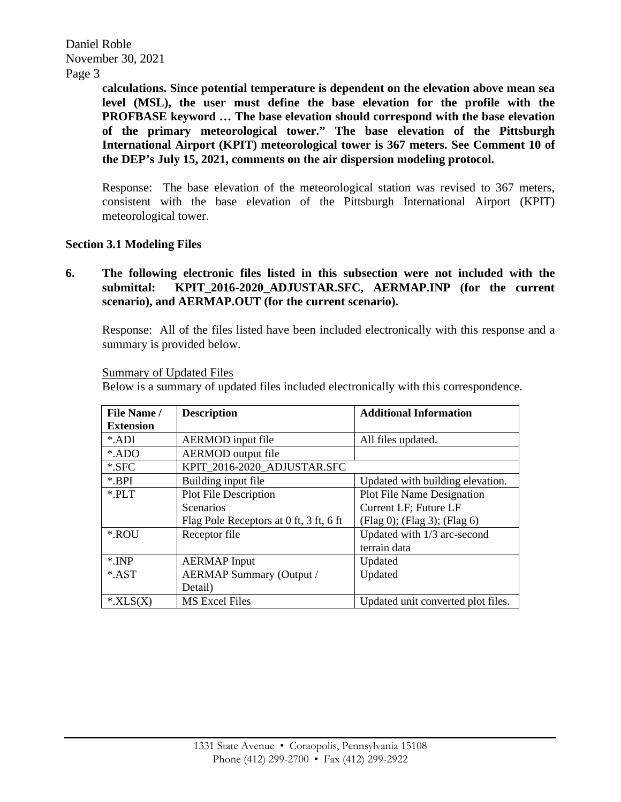Daniel Roble November 30, 2021

Page 3

**calculations. Since potential temperature is dependent on the elevation above mean sea level (MSL), the user must define the base elevation for the profile with the PROFBASE keyword … The base elevation should correspond with the base elevation of the primary meteorological tower." The base elevation of the Pittsburgh International Airport (KPIT) meteorological tower is 367 meters. See Comment 10 of the DEP's July 15, 2021, comments on the air dispersion modeling protocol.** 

Response: The base elevation of the meteorological station was revised to 367 meters, consistent with the base elevation of the Pittsburgh International Airport (KPIT) meteorological tower.

### **Section 3.1 Modeling Files**

**6. The following electronic files listed in this subsection were not included with the submittal: KPIT\_2016-2020\_ADJUSTAR.SFC, AERMAP.INP (for the current scenario), and AERMAP.OUT (for the current scenario).** 

Response: All of the files listed have been included electronically with this response and a summary is provided below.

| Summary of Updated Files |
|--------------------------|
|--------------------------|

Below is a summary of updated files included electronically with this correspondence.

| File Name/       | <b>Additional Information</b><br><b>Description</b> |                                    |  |
|------------------|-----------------------------------------------------|------------------------------------|--|
| <b>Extension</b> |                                                     |                                    |  |
| *.ADI            | <b>AERMOD</b> input file                            | All files updated.                 |  |
| *.ADO            | <b>AERMOD</b> output file                           |                                    |  |
| $*.$ SFC         | KPIT 2016-2020 ADJUSTAR.SFC                         |                                    |  |
| *.BPI            | Building input file                                 | Updated with building elevation.   |  |
| $*$ PLT          | Plot File Description                               | <b>Plot File Name Designation</b>  |  |
|                  | Scenarios                                           | Current LF; Future LF              |  |
|                  | Flag Pole Receptors at 0 ft, 3 ft, 6 ft             | (Flag 0); (Flag 3); (Flag 6)       |  |
| *.ROU            | Receptor file                                       | Updated with 1/3 arc-second        |  |
|                  |                                                     | terrain data                       |  |
| $*.INP$          | <b>AERMAP</b> Input                                 | Updated                            |  |
| *.AST            | <b>AERMAP Summary (Output /</b>                     | Updated                            |  |
|                  | Detail)                                             |                                    |  |
| $*XLS(X)$        | <b>MS Excel Files</b>                               | Updated unit converted plot files. |  |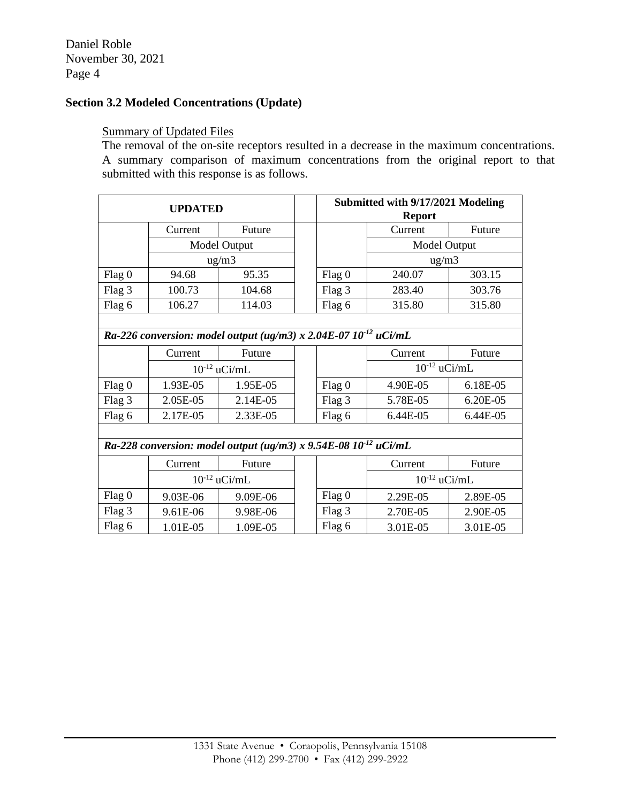Daniel Roble November 30, 2021 Page 4

# **Section 3.2 Modeled Concentrations (Update)**

### Summary of Updated Files

The removal of the on-site receptors resulted in a decrease in the maximum concentrations. A summary comparison of maximum concentrations from the original report to that submitted with this response is as follows.

| <b>UPDATED</b>                                                       |                     |          |  | Submitted with 9/17/2021 Modeling<br><b>Report</b> |                   |          |  |  |  |
|----------------------------------------------------------------------|---------------------|----------|--|----------------------------------------------------|-------------------|----------|--|--|--|
|                                                                      | Current             | Future   |  |                                                    | Current           | Future   |  |  |  |
|                                                                      | Model Output        |          |  |                                                    | Model Output      |          |  |  |  |
|                                                                      | $\mu$ g/m $\lambda$ |          |  |                                                    | $\text{ug/m3}$    |          |  |  |  |
| Flag 0                                                               | 94.68               | 95.35    |  | Flag 0                                             | 240.07            | 303.15   |  |  |  |
| Flag 3                                                               | 100.73              | 104.68   |  | Flag 3                                             | 283.40            | 303.76   |  |  |  |
| Flag 6                                                               | 106.27              | 114.03   |  | Flag 6                                             | 315.80            | 315.80   |  |  |  |
|                                                                      |                     |          |  |                                                    |                   |          |  |  |  |
| Ra-226 conversion: model output (ug/m3) x 2.04E-07 $10^{-12}$ uCi/mL |                     |          |  |                                                    |                   |          |  |  |  |
|                                                                      | Current             | Future   |  |                                                    | Current           | Future   |  |  |  |
|                                                                      | $10^{-12}$ uCi/mL   |          |  |                                                    | $10^{-12}$ uCi/mL |          |  |  |  |
| Flag 0                                                               | 1.93E-05            | 1.95E-05 |  | Flag 0                                             | 4.90E-05          | 6.18E-05 |  |  |  |
| Flag 3                                                               | 2.05E-05            | 2.14E-05 |  | Flag 3                                             | 5.78E-05          | 6.20E-05 |  |  |  |
| Flag 6                                                               | 2.17E-05            | 2.33E-05 |  | Flag 6                                             | 6.44E-05          | 6.44E-05 |  |  |  |
|                                                                      |                     |          |  |                                                    |                   |          |  |  |  |
| Ra-228 conversion: model output (ug/m3) x 9.54E-08 $10^{-12}$ uCi/mL |                     |          |  |                                                    |                   |          |  |  |  |
|                                                                      | Current             | Future   |  |                                                    | Current           | Future   |  |  |  |
|                                                                      | $10^{-12}$ uCi/mL   |          |  |                                                    | $10^{-12}$ uCi/mL |          |  |  |  |
| Flag 0                                                               | 9.03E-06            | 9.09E-06 |  | Flag 0                                             | 2.29E-05          | 2.89E-05 |  |  |  |
| Flag 3                                                               | 9.61E-06            | 9.98E-06 |  | Flag 3                                             | 2.70E-05          | 2.90E-05 |  |  |  |
| Flag 6                                                               | 1.01E-05            | 1.09E-05 |  | Flag 6                                             | 3.01E-05          | 3.01E-05 |  |  |  |